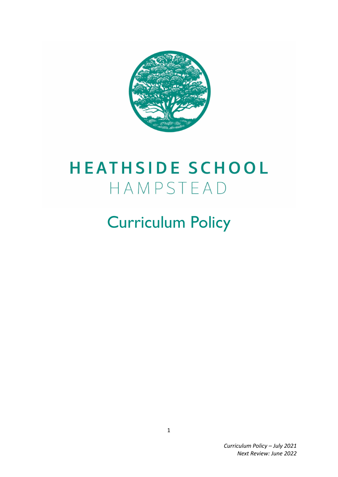

# **HEATHSIDE SCHOOL** HAMPSTEAD

# Curriculum Policy

*Curriculum Policy – July 2021 Next Review: June 2022*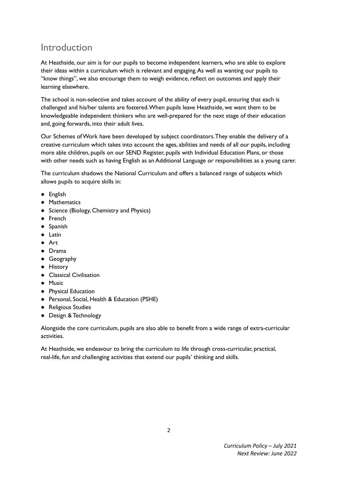# Introduction

At Heathside, our aim is for our pupils to become independent learners, who are able to explore their ideas within a curriculum which is relevant and engaging.As well as wanting our pupils to "know things", we also encourage them to weigh evidence, reflect on outcomes and apply their learning elsewhere.

The school is non-selective and takes account of the ability of every pupil, ensuring that each is challenged and his/her talents are fostered.When pupils leave Heathside, we want them to be knowledgeable independent thinkers who are well-prepared for the next stage of their education and, going forwards, into their adult lives.

Our Schemes ofWork have been developed by subject coordinators.They enable the delivery of a creative curriculum which takes into account the ages, abilities and needs of all our pupils, including more able children, pupils on our SEND Register, pupils with Individual Education Plans, or those with other needs such as having English as an Additional Language or responsibilities as a young carer.

The curriculum shadows the National Curriculum and offers a balanced range of subjects which allows pupils to acquire skills in:

- English
- Mathematics
- Science (Biology, Chemistry and Physics)
- French
- Spanish
- Latin
- Art
- Drama
- Geography
- History
- Classical Civilisation
- Music
- Physical Education
- Personal, Social, Health & Education (PSHE)
- Religious Studies
- Design &Technology

Alongside the core curriculum, pupils are also able to benefit from a wide range of extra-curricular activities.

At Heathside, we endeavour to bring the curriculum to life through cross-curricular, practical, real-life, fun and challenging activities that extend our pupils' thinking and skills.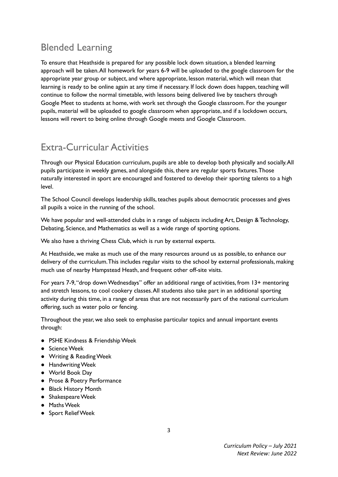# Blended Learning

To ensure that Heathside is prepared for any possible lock down situation, a blended learning approach will be taken.All homework for years 6-9 will be uploaded to the google classroom for the appropriate year group or subject, and where appropriate, lesson material, which will mean that learning is ready to be online again at any time if necessary. If lock down does happen, teaching will continue to follow the normal timetable, with lessons being delivered live by teachers through Google Meet to students at home, with work set through the Google classroom. For the younger pupils, material will be uploaded to google classroom when appropriate, and if a lockdown occurs, lessons will revert to being online through Google meets and Google Classroom.

# Extra-Curricular Activities

Through our Physical Education curriculum, pupils are able to develop both physically and socially.All pupils participate in weekly games, and alongside this, there are regular sports fixtures.Those naturally interested in sport are encouraged and fostered to develop their sporting talents to a high level.

The School Council develops leadership skills, teaches pupils about democratic processes and gives all pupils a voice in the running of the school.

We have popular and well-attended clubs in a range of subjects including Art, Design & Technology, Debating, Science, and Mathematics as well as a wide range of sporting options.

We also have a thriving Chess Club, which is run by external experts.

At Heathside, we make as much use of the many resources around us as possible, to enhance our delivery of the curriculum.This includes regular visits to the school by external professionals, making much use of nearby Hampstead Heath, and frequent other off-site visits.

For years 7-9,"drop downWednesdays" offer an additional range of activities, from 13+ mentoring and stretch lessons, to cool cookery classes.All students also take part in an additional sporting activity during this time, in a range of areas that are not necessarily part of the national curriculum offering, such as water polo or fencing.

Throughout the year, we also seek to emphasise particular topics and annual important events through:

- PSHE Kindness & FriendshipWeek
- Science Week
- Writing & ReadingWeek
- HandwritingWeek
- World Book Day
- Prose & Poetry Performance
- Black History Month
- ShakespeareWeek
- MathsWeek
- Sport ReliefWeek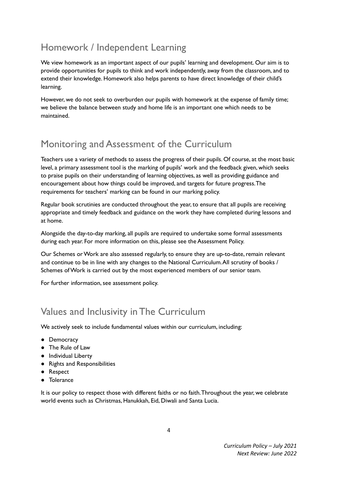# Homework / Independent Learning

We view homework as an important aspect of our pupils' learning and development. Our aim is to provide opportunities for pupils to think and work independently, away from the classroom, and to extend their knowledge. Homework also helps parents to have direct knowledge of their child's learning.

However, we do not seek to overburden our pupils with homework at the expense of family time; we believe the balance between study and home life is an important one which needs to be maintained.

# Monitoring and Assessment of the Curriculum

Teachers use a variety of methods to assess the progress of their pupils. Of course, at the most basic level, a primary assessment tool is the marking of pupils' work and the feedback given, which seeks to praise pupils on their understanding of learning objectives, as well as providing guidance and encouragement about how things could be improved, and targets for future progress.The requirements for teachers' marking can be found in our marking policy.

Regular book scrutinies are conducted throughout the year, to ensure that all pupils are receiving appropriate and timely feedback and guidance on the work they have completed during lessons and at home.

Alongside the day-to-day marking, all pupils are required to undertake some formal assessments during each year. For more information on this, please see the Assessment Policy.

Our Schemes or Work are also assessed regularly, to ensure they are up-to-date, remain relevant and continue to be in line with any changes to the National Curriculum. All scrutiny of books / Schemes ofWork is carried out by the most experienced members of our senior team.

For further information, see assessment policy.

# Values and Inclusivity in The Curriculum

We actively seek to include fundamental values within our curriculum, including:

- Democracy
- The Rule of Law
- Individual Liberty
- Rights and Responsibilities
- Respect
- Tolerance

It is our policy to respect those with different faiths or no faith.Throughout the year, we celebrate world events such as Christmas, Hanukkah, Eid, Diwali and Santa Lucia.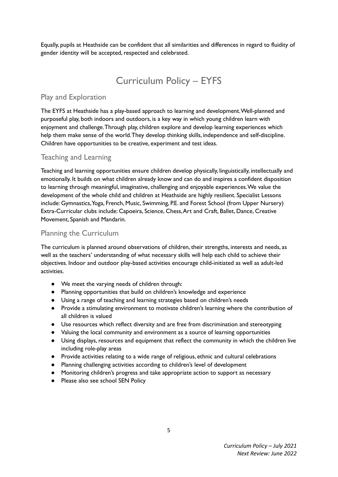Equally, pupils at Heathside can be confident that all similarities and differences in regard to fluidity of gender identity will be accepted, respected and celebrated.

# Curriculum Policy – EYFS

## Play and Exploration

The EYFS at Heathside has a play-based approach to learning and development.Well-planned and purposeful play, both indoors and outdoors, is a key way in which young children learn with enjoyment and challenge.Through play, children explore and develop learning experiences which help them make sense of the world.They develop thinking skills, independence and self-discipline. Children have opportunities to be creative, experiment and test ideas.

## Teaching and Learning

Teaching and learning opportunities ensure children develop physically, linguistically, intellectually and emotionally. It builds on what children already know and can do and inspires a confident disposition to learning through meaningful, imaginative, challenging and enjoyable experiences.We value the development of the whole child and children at Heathside are highly resilient. Specialist Lessons include: Gymnastics,Yoga, French, Music, Swimming, P.E. and Forest School (from Upper Nursery) Extra-Curricular clubs include: Capoeira, Science, Chess,Art and Craft, Ballet, Dance, Creative Movement, Spanish and Mandarin.

## Planning the Curriculum

The curriculum is planned around observations of children, their strengths, interests and needs, as well as the teachers' understanding of what necessary skills will help each child to achieve their objectives. Indoor and outdoor play-based activities encourage child-initiated as well as adult-led activities.

- We meet the varying needs of children through:
- Planning opportunities that build on children's knowledge and experience
- Using a range of teaching and learning strategies based on children's needs
- Provide a stimulating environment to motivate children's learning where the contribution of all children is valued
- Use resources which reflect diversity and are free from discrimination and stereotyping
- Valuing the local community and environment as a source of learning opportunities
- Using displays, resources and equipment that reflect the community in which the children live including role-play areas
- Provide activities relating to a wide range of religious, ethnic and cultural celebrations
- Planning challenging activities according to children's level of development
- Monitoring children's progress and take appropriate action to support as necessary
- Please also see school SEN Policy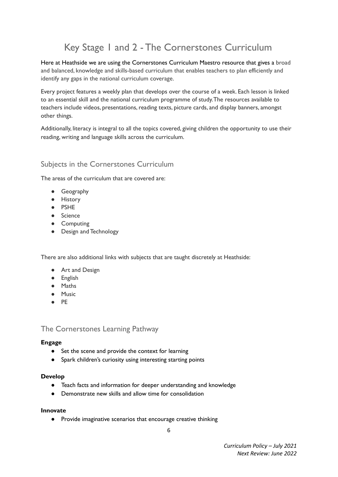# Key Stage 1 and 2 - The Cornerstones Curriculum

Here at Heathside we are using the Cornerstones Curriculum Maestro resource that gives a broad and balanced, knowledge and skills-based curriculum that enables teachers to plan efficiently and identify any gaps in the national curriculum coverage.

Every project features a weekly plan that develops over the course of a week. Each lesson is linked to an essential skill and the national curriculum programme of study.The resources available to teachers include videos, presentations, reading texts, picture cards, and display banners, amongst other things.

Additionally, literacy is integral to all the topics covered, giving children the opportunity to use their reading, writing and language skills across the curriculum.

## Subjects in the Cornerstones Curriculum

The areas of the curriculum that are covered are:

- Geography
- History
- PSHE
- Science
- Computing
- Design and Technology

There are also additional links with subjects that are taught discretely at Heathside:

- Art and Design
- English
- Maths
- Music
- PE

The Cornerstones Learning Pathway

### **Engage**

- Set the scene and provide the context for learning
- Spark children's curiosity using interesting starting points

### **Develop**

- Teach facts and information for deeper understanding and knowledge
- Demonstrate new skills and allow time for consolidation

### **Innovate**

● Provide imaginative scenarios that encourage creative thinking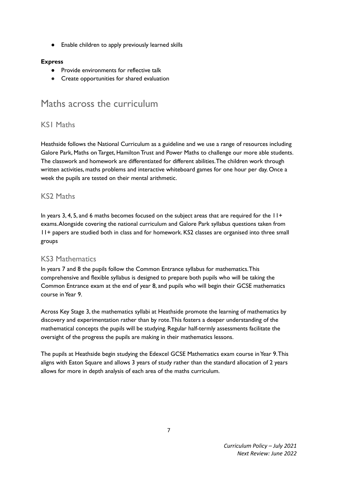● Enable children to apply previously learned skills

## **Express**

- Provide environments for reflective talk
- Create opportunities for shared evaluation

## Maths across the curriculum

## KS1 Maths

Heathside follows the National Curriculum as a guideline and we use a range of resources including Galore Park, Maths on Target, Hamilton Trust and Power Maths to challenge our more able students. The classwork and homework are differentiated for different abilities.The children work through written activities, maths problems and interactive whiteboard games for one hour per day. Once a week the pupils are tested on their mental arithmetic.

## KS2 Maths

In years 3, 4, 5, and 6 maths becomes focused on the subject areas that are required for the  $11+$ exams.Alongside covering the national curriculum and Galore Park syllabus questions taken from 11+ papers are studied both in class and for homework. KS2 classes are organised into three small groups

## KS3 Mathematics

In years 7 and 8 the pupils follow the Common Entrance syllabus for mathematics.This comprehensive and flexible syllabus is designed to prepare both pupils who will be taking the Common Entrance exam at the end of year 8, and pupils who will begin their GCSE mathematics course inYear 9.

Across Key Stage 3, the mathematics syllabi at Heathside promote the learning of mathematics by discovery and experimentation rather than by rote.This fosters a deeper understanding of the mathematical concepts the pupils will be studying. Regular half-termly assessments facilitate the oversight of the progress the pupils are making in their mathematics lessons.

The pupils at Heathside begin studying the Edexcel GCSE Mathematics exam course in Year 9. This aligns with Eaton Square and allows 3 years of study rather than the standard allocation of 2 years allows for more in depth analysis of each area of the maths curriculum.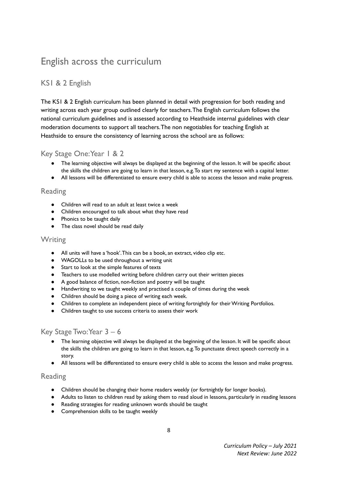# English across the curriculum

## KS1 & 2 English

The KS1 & 2 English curriculum has been planned in detail with progression for both reading and writing across each year group outlined clearly for teachers.The English curriculum follows the national curriculum guidelines and is assessed according to Heathside internal guidelines with clear moderation documents to support all teachers.The non negotiables for teaching English at Heathside to ensure the consistency of learning across the school are as follows:

## Key Stage One:Year 1 & 2

- The learning objective will always be displayed at the beginning of the lesson. It will be specific about the skills the children are going to learn in that lesson, e.g.To start my sentence with a capital letter.
- All lessons will be differentiated to ensure every child is able to access the lesson and make progress.

## Reading

- Children will read to an adult at least twice a week
- Children encouraged to talk about what they have read
- Phonics to be taught daily
- The class novel should be read daily

## **Writing**

- All units will have a 'hook'.This can be a book, an extract, video clip etc.
- WAGOLLs to be used throughout a writing unit
- Start to look at the simple features of texts
- Teachers to use modelled writing before children carry out their written pieces
- A good balance of fiction, non-fiction and poetry will be taught
- Handwriting to we taught weekly and practised a couple of times during the week
- Children should be doing a piece of writing each week.
- Children to complete an independent piece of writing fortnightly for their Writing Portfolios.
- Children taught to use success criteria to assess their work

## Key Stage Two:Year 3 – 6

- The learning objective will always be displayed at the beginning of the lesson. It will be specific about the skills the children are going to learn in that lesson, e.g.To punctuate direct speech correctly in a story.
- All lessons will be differentiated to ensure every child is able to access the lesson and make progress.

## Reading

- Children should be changing their home readers weekly (or fortnightly for longer books).
- Adults to listen to children read by asking them to read aloud in lessons, particularly in reading lessons
- Reading strategies for reading unknown words should be taught
- Comprehension skills to be taught weekly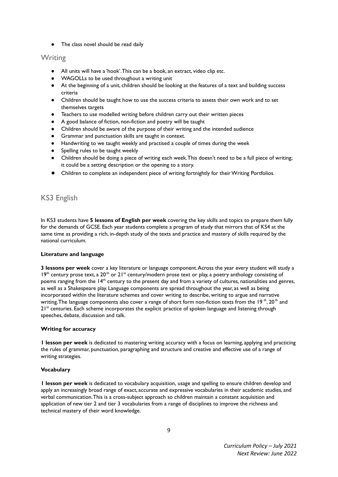● The class novel should be read daily

## **Writing**

- All units will have a 'hook'. This can be a book, an extract, video clip etc.
- WAGOLLs to be used throughout a writing unit
- At the beginning of a unit, children should be looking at the features of a text and building success criteria
- Children should be taught how to use the success criteria to assess their own work and to set themselves targets
- Teachers to use modelled writing before children carry out their written pieces
- A good balance of fiction, non-fiction and poetry will be taught
- Children should be aware of the purpose of their writing and the intended audience
- Grammar and punctuation skills are taught in context.
- Handwriting to we taught weekly and practised a couple of times during the week
- Spelling rules to be taught weekly
- Children should be doing a piece of writing each week. This doesn't need to be a full piece of writing; it could be a setting description or the opening to a story.
- **●** Children to complete an independent piece of writing fortnightly for theirWriting Portfolios.

## KS3 English

In KS3 students have **5 lessons of English per week** covering the key skills and topics to prepare them fully for the demands of GCSE. Each year students complete a program of study that mirrors that of KS4 at the same time as providing a rich, in-depth study of the texts and practice and mastery of skills required by the national curriculum.

### **Literature and language**

**3 lessons per week** cover a key literature or language component.Across the year every student will study a 19<sup>th</sup> century prose text, a 20<sup>th</sup> or 21<sup>st</sup> century/modern prose text or play, a poetry anthology consisting of poems ranging from the 14<sup>th</sup> century to the present day and from a variety of cultures, nationalities and genres, as well as a Shakespeare play. Language components are spread throughout the year, as well as being incorporated within the literature schemes and cover writing to describe, writing to argue and narrative writing. The language components also cover a range of short form non-fiction texts from the 19  $^{\rm th}$ , 20  $^{\rm th}$  and 21<sup>st</sup> centuries. Each scheme incorporates the explicit practice of spoken language and listening through speeches, debate, discussion and talk.

### **Writing for accuracy**

**1 lesson per week** is dedicated to mastering writing accuracy with a focus on learning, applying and practicing the rules of grammar, punctuation, paragraphing and structure and creative and effective use of a range of writing strategies.

### **Vocabulary**

**1 lesson per week** is dedicated to vocabulary acquisition, usage and spelling to ensure children develop and apply an increasingly broad range of exact, accurate and expressive vocabularies in their academic studies, and verbal communication.This is a cross-subject approach so children maintain a constant acquisition and application of new tier 2 and tier 3 vocabularies from a range of disciplines to improve the richness and technical mastery of their word knowledge.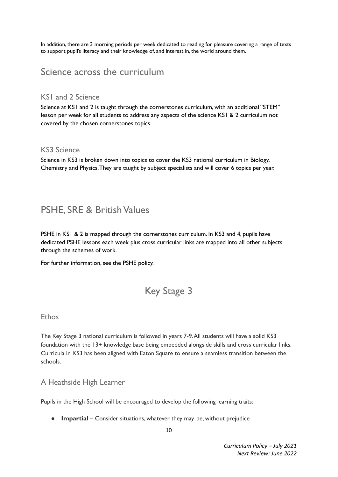In addition, there are 3 morning periods per week dedicated to reading for pleasure covering a range of texts to support pupil's literacy and their knowledge of, and interest in, the world around them.

## Science across the curriculum

## KS1 and 2 Science

Science at KS1 and 2 is taught through the cornerstones curriculum, with an additional "STEM" lesson per week for all students to address any aspects of the science KS1 & 2 curriculum not covered by the chosen cornerstones topics.

## KS3 Science

Science in KS3 is broken down into topics to cover the KS3 national curriculum in Biology, Chemistry and Physics.They are taught by subject specialists and will cover 6 topics per year.

## PSHE, SRE & British Values

PSHE in KS1 & 2 is mapped through the cornerstones curriculum. In KS3 and 4, pupils have dedicated PSHE lessons each week plus cross curricular links are mapped into all other subjects through the schemes of work.

For further information, see the PSHE policy.

# Key Stage 3

## Ethos

The Key Stage 3 national curriculum is followed in years 7-9.All students will have a solid KS3 foundation with the 13+ knowledge base being embedded alongside skills and cross curricular links. Curricula in KS3 has been aligned with Eaton Square to ensure a seamless transition between the schools.

## A Heathside High Learner

Pupils in the High School will be encouraged to develop the following learning traits:

● **Impartial** – Consider situations, whatever they may be, without prejudice